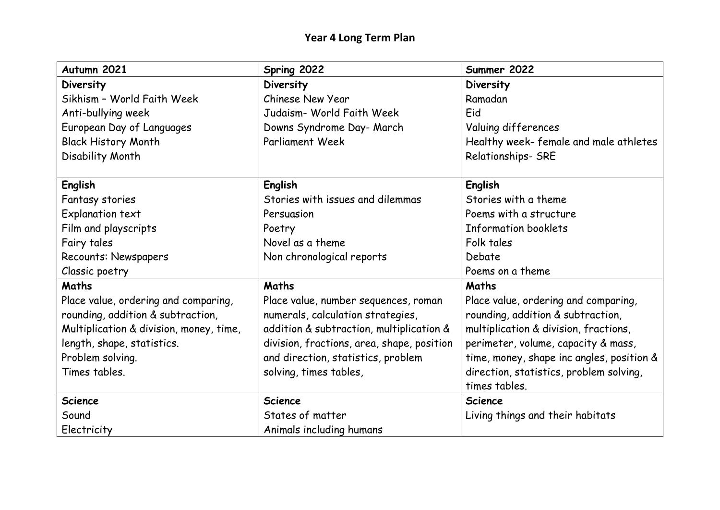| Autumn 2021                             | Spring 2022                                | Summer 2022                               |
|-----------------------------------------|--------------------------------------------|-------------------------------------------|
| Diversity                               | Diversity                                  | Diversity                                 |
| Sikhism - World Faith Week              | Chinese New Year                           | Ramadan                                   |
| Anti-bullying week                      | Judaism- World Faith Week                  | Eid                                       |
| European Day of Languages               | Downs Syndrome Day- March                  | Valuing differences                       |
| <b>Black History Month</b>              | <b>Parliament Week</b>                     | Healthy week- female and male athletes    |
| Disability Month                        |                                            | Relationships- SRE                        |
| <b>English</b>                          | <b>English</b>                             | <b>English</b>                            |
| Fantasy stories                         | Stories with issues and dilemmas           | Stories with a theme                      |
| Explanation text                        | Persuasion                                 | Poems with a structure                    |
| Film and playscripts                    | Poetry                                     | Information booklets                      |
| Fairy tales                             | Novel as a theme                           | Folk tales                                |
| <b>Recounts: Newspapers</b>             | Non chronological reports                  | Debate                                    |
| Classic poetry                          |                                            | Poems on a theme                          |
| Maths                                   | Maths                                      | Maths                                     |
| Place value, ordering and comparing,    | Place value, number sequences, roman       | Place value, ordering and comparing,      |
| rounding, addition & subtraction,       | numerals, calculation strategies,          | rounding, addition & subtraction,         |
| Multiplication & division, money, time, | addition & subtraction, multiplication &   | multiplication & division, fractions,     |
| length, shape, statistics.              | division, fractions, area, shape, position | perimeter, volume, capacity & mass,       |
| Problem solving.                        | and direction, statistics, problem         | time, money, shape inc angles, position & |
| Times tables.                           | solving, times tables,                     | direction, statistics, problem solving,   |
|                                         |                                            | times tables.                             |
| <b>Science</b>                          | <b>Science</b>                             | <b>Science</b>                            |
| Sound                                   | States of matter                           | Living things and their habitats          |
| Electricity                             | Animals including humans                   |                                           |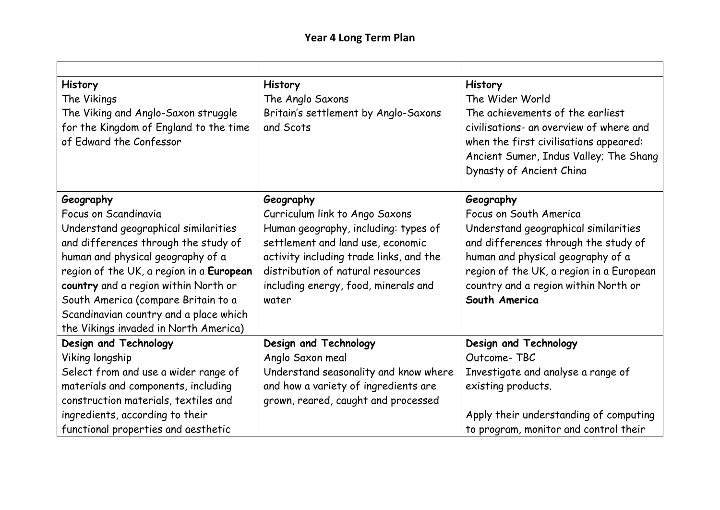## **Year 4 Long Term Plan**

| <b>History</b>                           | <b>History</b>                          | <b>History</b>                           |
|------------------------------------------|-----------------------------------------|------------------------------------------|
| The Vikings                              | The Anglo Saxons                        | The Wider World                          |
| The Viking and Anglo-Saxon struggle      | Britain's settlement by Anglo-Saxons    | The achievements of the earliest         |
| for the Kingdom of England to the time   | and Scots                               | civilisations- an overview of where and  |
| of Edward the Confessor                  |                                         | when the first civilisations appeared:   |
|                                          |                                         | Ancient Sumer, Indus Valley; The Shang   |
|                                          |                                         | Dynasty of Ancient China                 |
| Geography                                | Geography                               | Geography                                |
| Focus on Scandinavia                     | Curriculum link to Ango Saxons          | Focus on South America                   |
| Understand geographical similarities     | Human geography, including: types of    | Understand geographical similarities     |
| and differences through the study of     | settlement and land use, economic       | and differences through the study of     |
| human and physical geography of a        | activity including trade links, and the | human and physical geography of a        |
| region of the UK, a region in a European | distribution of natural resources       | region of the UK, a region in a European |
| country and a region within North or     | including energy, food, minerals and    | country and a region within North or     |
| South America (compare Britain to a      | water                                   | South America                            |
| Scandinavian country and a place which   |                                         |                                          |
| the Vikings invaded in North America)    |                                         |                                          |
| Design and Technology                    | Design and Technology                   | Design and Technology                    |
| Viking longship                          | Anglo Saxon meal                        | Outcome-TBC                              |
| Select from and use a wider range of     | Understand seasonality and know where   | Investigate and analyse a range of       |
| materials and components, including      | and how a variety of ingredients are    | existing products.                       |
| construction materials, textiles and     | grown, reared, caught and processed     |                                          |
| ingredients, according to their          |                                         | Apply their understanding of computing   |
| functional properties and aesthetic      |                                         | to program, monitor and control their    |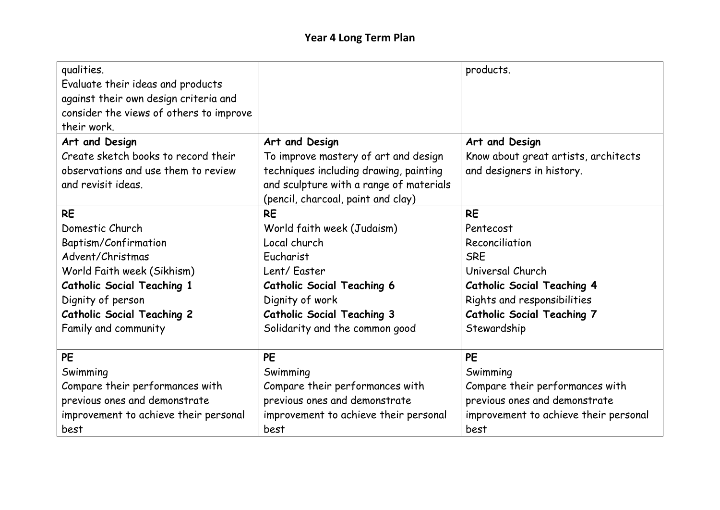| qualities.<br>Evaluate their ideas and products<br>against their own design criteria and<br>consider the views of others to improve<br>their work. |                                         | products.                             |
|----------------------------------------------------------------------------------------------------------------------------------------------------|-----------------------------------------|---------------------------------------|
| Art and Design                                                                                                                                     | Art and Design                          | Art and Design                        |
| Create sketch books to record their                                                                                                                | To improve mastery of art and design    | Know about great artists, architects  |
| observations and use them to review                                                                                                                | techniques including drawing, painting  | and designers in history.             |
| and revisit ideas.                                                                                                                                 | and sculpture with a range of materials |                                       |
|                                                                                                                                                    | (pencil, charcoal, paint and clay)      |                                       |
| <b>RE</b>                                                                                                                                          | <b>RE</b>                               | <b>RE</b>                             |
| Domestic Church                                                                                                                                    | World faith week (Judaism)              | Pentecost                             |
| Baptism/Confirmation                                                                                                                               | Local church                            | Reconciliation                        |
| Advent/Christmas                                                                                                                                   | Eucharist                               | <b>SRE</b>                            |
| World Faith week (Sikhism)                                                                                                                         | Lent/ Easter                            | Universal Church                      |
| <b>Catholic Social Teaching 1</b>                                                                                                                  | <b>Catholic Social Teaching 6</b>       | <b>Catholic Social Teaching 4</b>     |
| Dignity of person                                                                                                                                  | Dignity of work                         | Rights and responsibilities           |
| <b>Catholic Social Teaching 2</b>                                                                                                                  | <b>Catholic Social Teaching 3</b>       | <b>Catholic Social Teaching 7</b>     |
| Family and community                                                                                                                               | Solidarity and the common good          | Stewardship                           |
|                                                                                                                                                    |                                         |                                       |
| <b>PE</b>                                                                                                                                          | PE                                      | <b>PE</b>                             |
| Swimming                                                                                                                                           | Swimming                                | Swimming                              |
| Compare their performances with                                                                                                                    | Compare their performances with         | Compare their performances with       |
| previous ones and demonstrate                                                                                                                      | previous ones and demonstrate           | previous ones and demonstrate         |
| improvement to achieve their personal                                                                                                              | improvement to achieve their personal   | improvement to achieve their personal |
| best                                                                                                                                               | best                                    | best                                  |